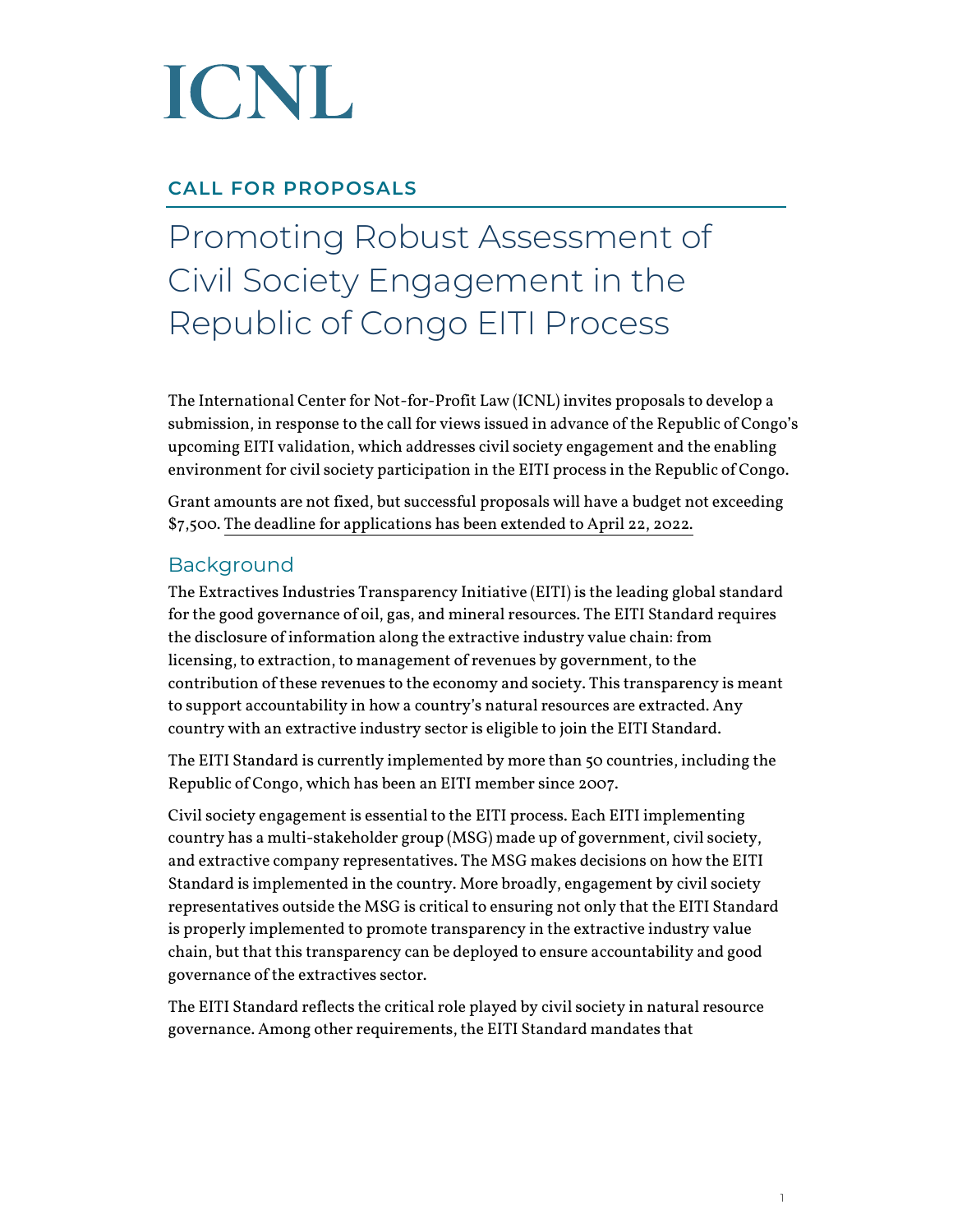# ICNL

### **CALL FOR PROPOSALS**

### Promoting Robust Assessment of Civil Society Engagement in the Republic of Congo EITI Process

The International Center for Not-for-Profit Law (ICNL) invites proposals to develop a submission, in response to the call for views issued in advance of the Republic of Congo's upcoming EITI validation, which addresses civil society engagement and the enabling environment for civil society participation in the EITI process in the Republic of Congo.

Grant amounts are not fixed, but successful proposals will have a budget not exceeding \$7,500. The deadline for applications has been extended to April 22, 2022.

### Background

The Extractives Industries Transparency Initiative (EITI) is the leading global standard for the good governance of oil, gas, and mineral resources. The EITI Standard requires the disclosure of information along the extractive industry value chain: from licensing, to extraction, to management of revenues by government, to the contribution of these revenues to the economy and society. This transparency is meant to support accountability in how a country's natural resources are extracted. Any country with an extractive industry sector is eligible to join the EITI Standard.

The EITI Standard is currently implemented by more than 50 countries, including the Republic of Congo, which has been an EITI member since 2007.

Civil society engagement is essential to the EITI process. Each EITI implementing country has a multi-stakeholder group (MSG) made up of government, civil society, and extractive company representatives. The MSG makes decisions on how the EITI Standard is implemented in the country. More broadly, engagement by civil society representatives outside the MSG is critical to ensuring not only that the EITI Standard is properly implemented to promote transparency in the extractive industry value chain, but that this transparency can be deployed to ensure accountability and good governance of the extractives sector.

The EITI Standard reflects the critical role played by civil society in natural resource governance. Among other requirements, the EITI Standard mandates that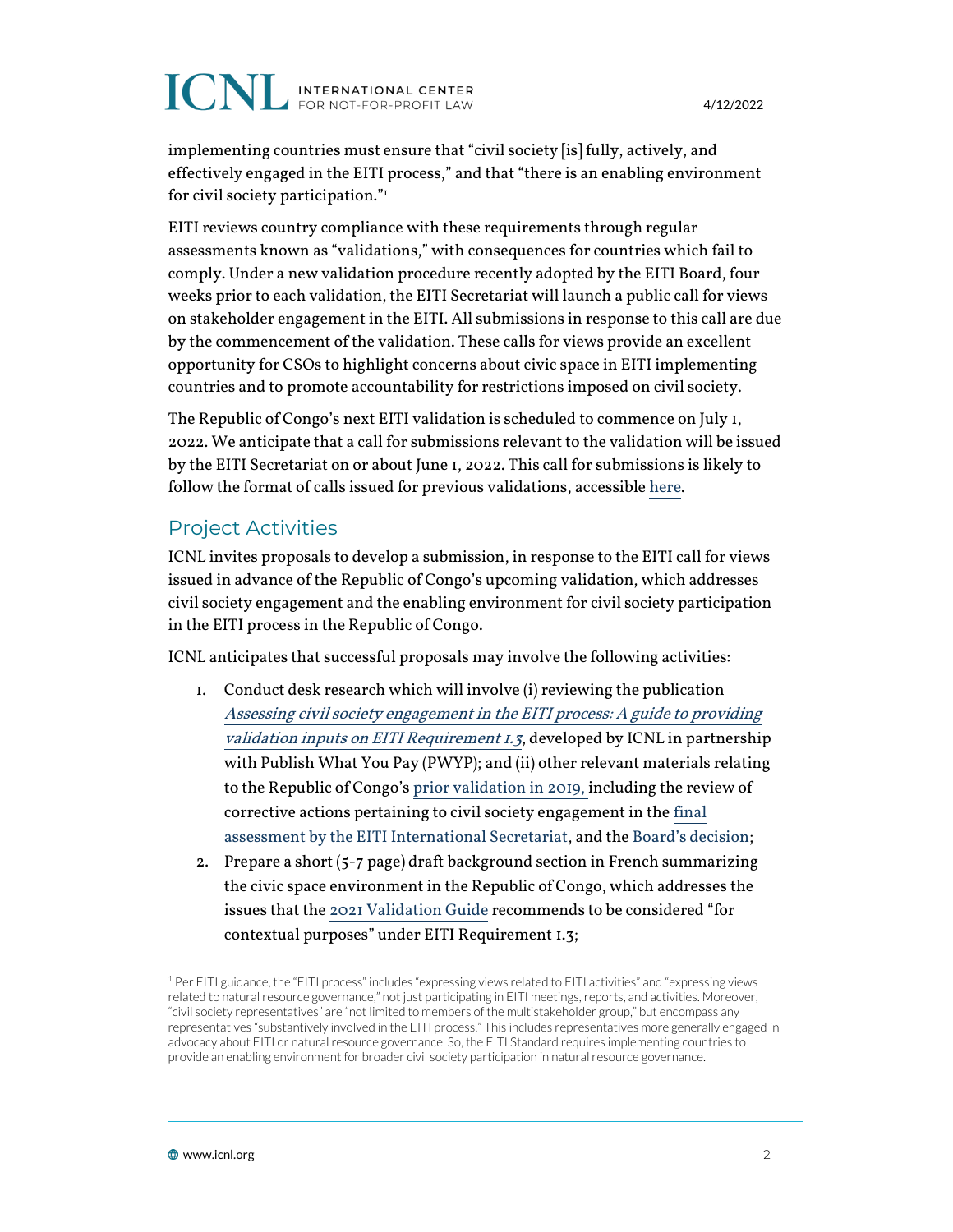## **ICNL** INTERNATIONAL CENTER

implementing countries must ensure that "civil society [is] fully, actively, and effectively engaged in the EITI process," and that "there is an enabling environment for civil society participation."<sup>1</sup>

EITI reviews country compliance with these requirements through regular assessments known as "validations," with consequences for countries which fail to comply. Under a new validation procedure recently adopted by the EITI Board, four weeks prior to each validation, the EITI Secretariat will launch a public call for views on stakeholder engagement in the EITI. All submissions in response to this call are due by the commencement of the validation. These calls for views provide an excellent opportunity for CSOs to highlight concerns about civic space in EITI implementing countries and to promote accountability for restrictions imposed on civil society.

The Republic of Congo's next EITI validation is scheduled to commence on July 1, 2022. We anticipate that a call for submissions relevant to the validation will be issued by the EITI Secretariat on or about June 1, 2022. This call for submissions is likely to follow the format of calls issued for previous validations, accessible [here.](https://eiti.org/files/documents/senegal_eiti_validation_2021_-_call_for_views_on_stakeholder_engagement_fr.pdf)

### Project Activities

ICNL invites proposals to develop a submission, in response to the EITI call for views issued in advance of the Republic of Congo's upcoming validation, which addresses civil society engagement and the enabling environment for civil society participation in the EITI process in the Republic of Congo.

ICNL anticipates that successful proposals may involve the following activities:

- 1. Conduct desk research which will involve (i) reviewing the publication [Assessing civil society engagement in the EITI process: A guide to providing](https://www.icnl.org/wp-content/uploads/PWYP_ICNL_Assess-Civil-Eng-EITI_prf3.pdf)  [validation inputs on EITI Requirement 1.3](https://www.icnl.org/wp-content/uploads/PWYP_ICNL_Assess-Civil-Eng-EITI_prf3.pdf), developed by ICNL in partnership with Publish What You Pay (PWYP); and (ii) other relevant materials relating to the Republic of Congo's [prior validation in 2019,](https://eiti.org/document/republic-of-congo-validation-2019) including the review of corrective actions pertaining to civil society engagement in th[e final](https://eiti.org/files/documents/republic_of_congo_-_second_validation_final_assessment_clean.pdf)  [assessment by the EITI International Secretariat,](https://eiti.org/files/documents/republic_of_congo_-_second_validation_final_assessment_clean.pdf) and the [Board's decision](https://eiti.org/board-decision/2020-68);
- 2. Prepare a short (5-7 page) draft background section in French summarizing the civic space environment in the Republic of Congo, which addresses the issues that th[e 2021 Validation Guide](https://eiti.org/document/2021-eiti-validation-guide) recommends to be considered "for contextual purposes" under EITI Requirement 1.3;

<sup>1</sup> Per EITI guidance, the "EITI process" includes "expressing views related to EITI activities" and "expressing views related to natural resource governance," not just participating in EITI meetings, reports, and activities. Moreover, "civil society representatives" are "not limited to members of the multistakeholder group," but encompass any representatives "substantively involved in the EITI process." This includes representatives more generally engaged in advocacy about EITI or natural resource governance. So, the EITI Standard requires implementing countries to provide an enabling environment for broader civil society participation in natural resource governance.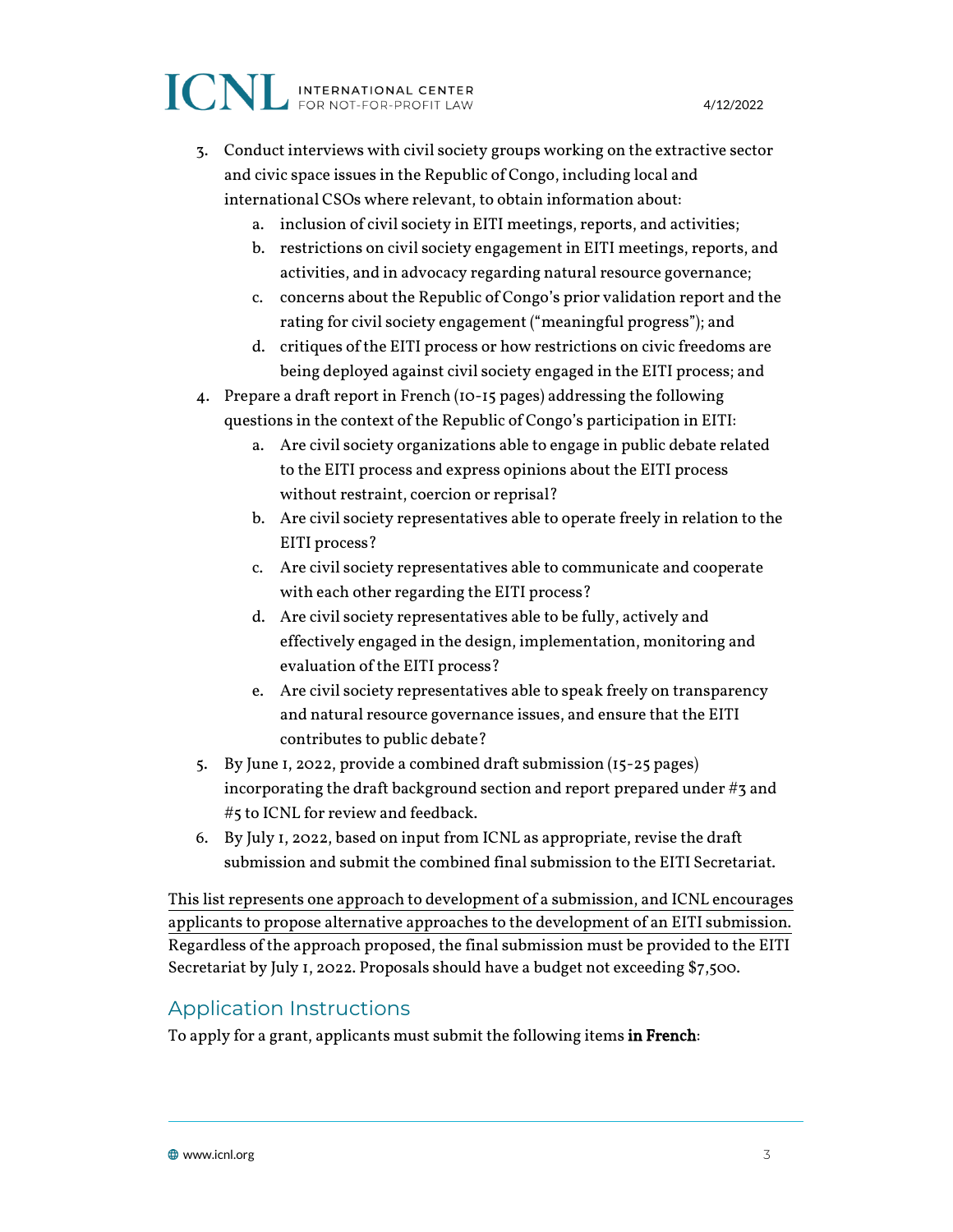## ICNL INTERNATIONAL CENTER

- 3. Conduct interviews with civil society groups working on the extractive sector and civic space issues in the Republic of Congo, including local and international CSOs where relevant, to obtain information about:
	- a. inclusion of civil society in EITI meetings, reports, and activities;
	- b. restrictions on civil society engagement in EITI meetings, reports, and activities, and in advocacy regarding natural resource governance;
	- c. concerns about the Republic of Congo's prior validation report and the rating for civil society engagement ("meaningful progress"); and
	- d. critiques of the EITI process or how restrictions on civic freedoms are being deployed against civil society engaged in the EITI process; and
- 4. Prepare a draft report in French (10-15 pages) addressing the following questions in the context of the Republic of Congo's participation in EITI:
	- a. Are civil society organizations able to engage in public debate related to the EITI process and express opinions about the EITI process without restraint, coercion or reprisal?
	- b. Are civil society representatives able to operate freely in relation to the EITI process?
	- c. Are civil society representatives able to communicate and cooperate with each other regarding the EITI process?
	- d. Are civil society representatives able to be fully, actively and effectively engaged in the design, implementation, monitoring and evaluation of the EITI process?
	- e. Are civil society representatives able to speak freely on transparency and natural resource governance issues, and ensure that the EITI contributes to public debate?
- 5. By June 1, 2022, provide a combined draft submission (15-25 pages) incorporating the draft background section and report prepared under #3 and #5 to ICNL for review and feedback.
- 6. By July 1, 2022, based on input from ICNL as appropriate, revise the draft submission and submit the combined final submission to the EITI Secretariat.

This list represents one approach to development of a submission, and ICNL encourages applicants to propose alternative approaches to the development of an EITI submission. Regardless of the approach proposed, the final submission must be provided to the EITI Secretariat by July 1, 2022. Proposals should have a budget not exceeding \$7,500.

### Application Instructions

To apply for a grant, applicants must submit the following items in French: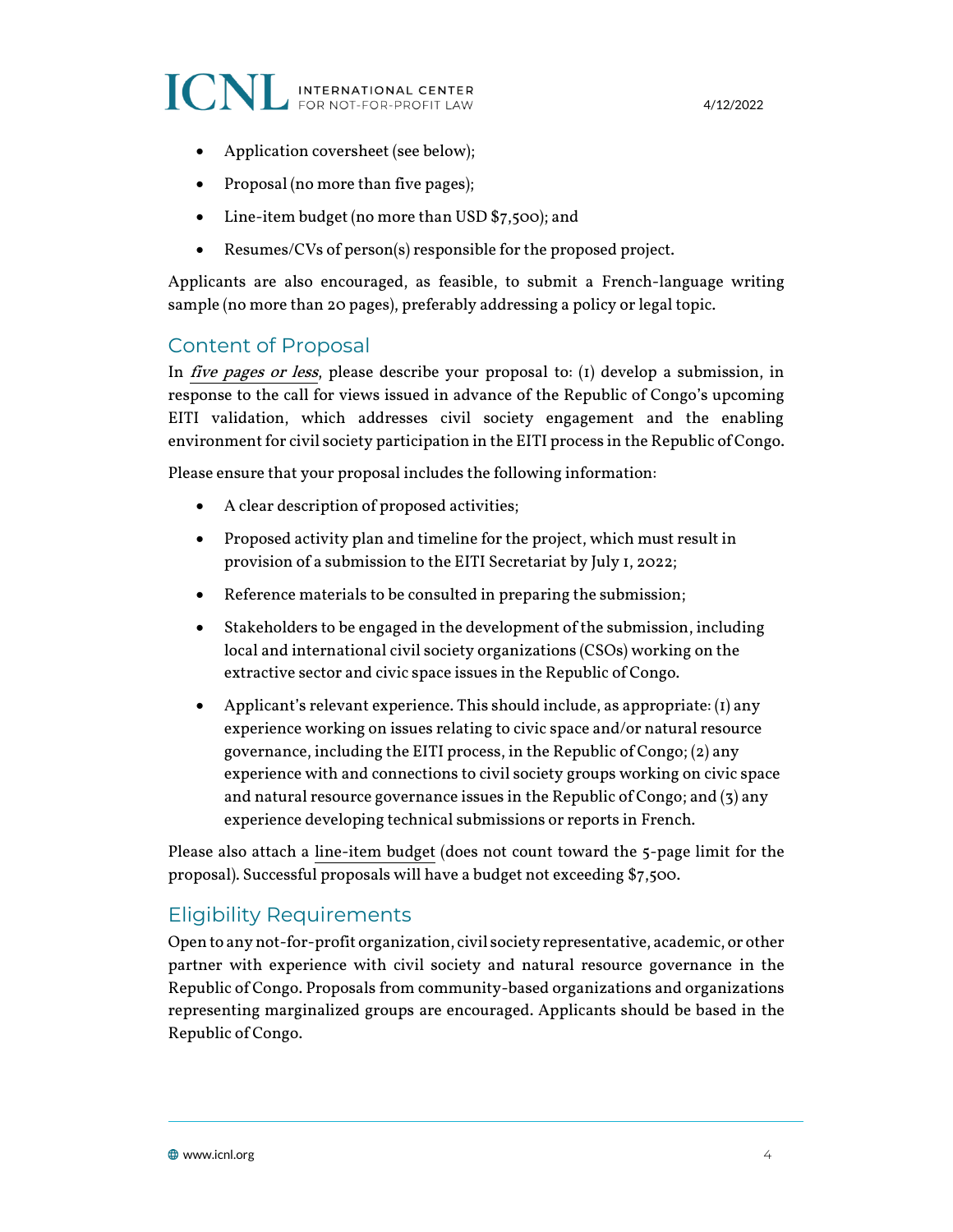

- Application coversheet (see below);
- Proposal (no more than five pages);
- Line-item budget (no more than USD \$7,500); and
- Resumes/CVs of person(s) responsible for the proposed project.

Applicants are also encouraged, as feasible, to submit a French-language writing sample (no more than 20 pages), preferably addressing a policy or legal topic.

### Content of Proposal

In *five pages or less*, please describe your proposal to: (1) develop a submission, in response to the call for views issued in advance of the Republic of Congo's upcoming EITI validation, which addresses civil society engagement and the enabling environment for civil society participation in the EITI process in the Republic of Congo.

Please ensure that your proposal includes the following information:

- A clear description of proposed activities;
- Proposed activity plan and timeline for the project, which must result in provision of a submission to the EITI Secretariat by July 1, 2022;
- Reference materials to be consulted in preparing the submission;
- Stakeholders to be engaged in the development of the submission, including local and international civil society organizations (CSOs) working on the extractive sector and civic space issues in the Republic of Congo.
- Applicant's relevant experience. This should include, as appropriate: (1) any experience working on issues relating to civic space and/or natural resource governance, including the EITI process, in the Republic of Congo; (2) any experience with and connections to civil society groups working on civic space and natural resource governance issues in the Republic of Congo; and  $(3)$  any experience developing technical submissions or reports in French.

Please also attach a line-item budget (does not count toward the 5-page limit for the proposal). Successful proposals will have a budget not exceeding \$7,500.

### Eligibility Requirements

Open to any not-for-profit organization, civil society representative, academic, or other partner with experience with civil society and natural resource governance in the Republic of Congo. Proposals from community-based organizations and organizations representing marginalized groups are encouraged. Applicants should be based in the Republic of Congo.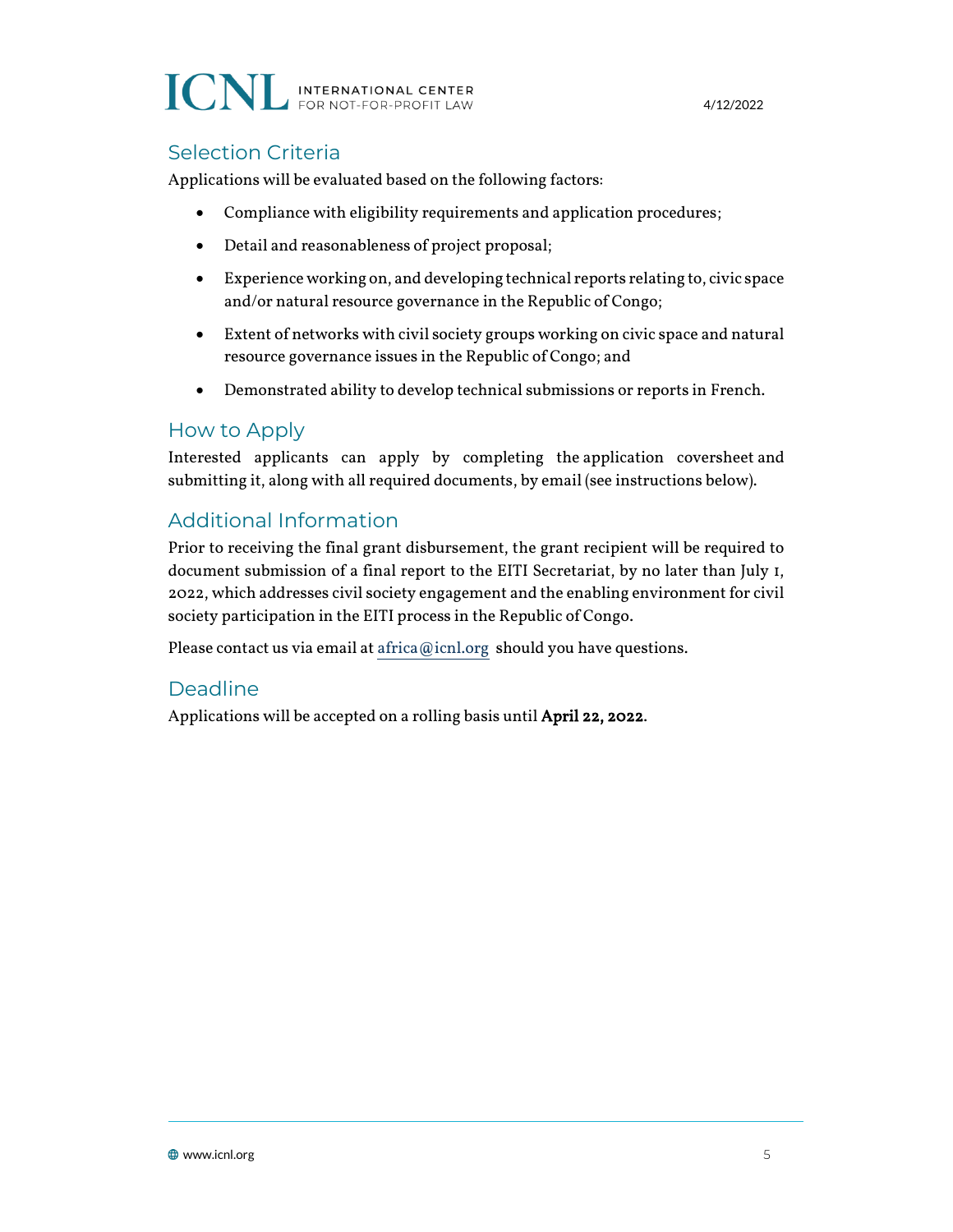### **ICNL INTERNATIONAL CENTER**

4/12/2022

### Selection Criteria

Applications will be evaluated based on the following factors:

- Compliance with eligibility requirements and application procedures;
- Detail and reasonableness of project proposal;
- Experience working on, and developing technical reports relating to, civic space and/or natural resource governance in the Republic of Congo;
- Extent of networks with civil society groups working on civic space and natural resource governance issues in the Republic of Congo; and
- Demonstrated ability to develop technical submissions or reports in French.

### How to Apply

Interested applicants can apply by completing the application coversheet and submitting it, along with all required documents, by email (see instructions below).

### Additional Information

Prior to receiving the final grant disbursement, the grant recipient will be required to document submission of a final report to the EITI Secretariat, by no later than July 1, 2022, which addresses civil society engagement and the enabling environment for civil society participation in the EITI process in the Republic of Congo.

Please contact us via email a[t africa@icnl.org](mailto:africa@icnl.org) should you have questions.

### Deadline

Applications will be accepted on a rolling basis until April 22, 2022.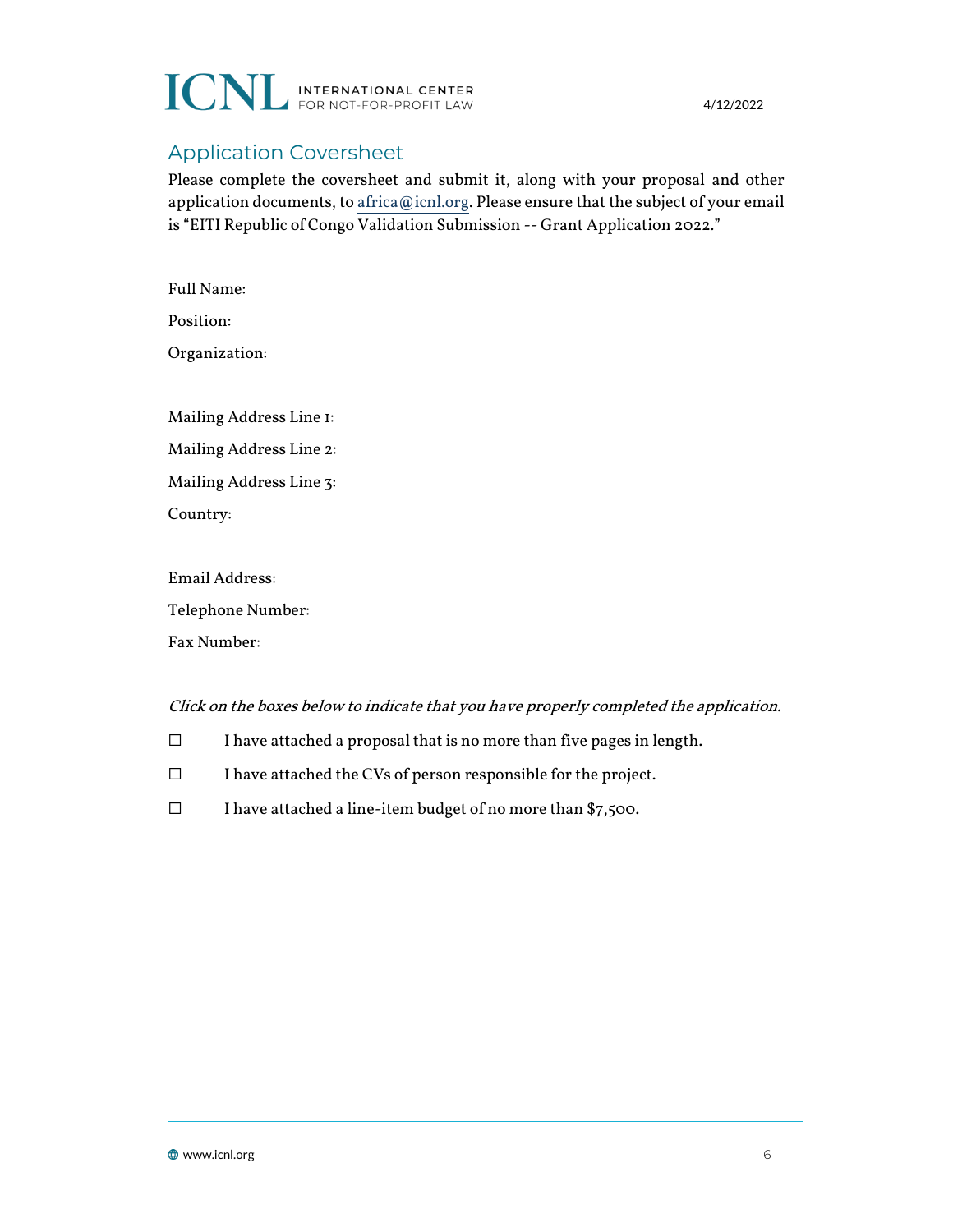

4/12/2022

### Application Coversheet

Please complete the coversheet and submit it, along with your proposal and other application documents, t[o africa@icnl.org.](mailto:africa@icnl.org) Please ensure that the subject of your email is "EITI Republic of Congo Validation Submission -- Grant Application 2022."

Full Name: Position: Organization: Mailing Address Line 1: Mailing Address Line 2: Mailing Address Line 3: Country:

Email Address: Telephone Number: Fax Number:

#### Click on the boxes below to indicate that you have properly completed the application.

- ☐ I have attached a proposal that is no more than five pages in length.
- ☐ I have attached the CVs of person responsible for the project.
- ☐ I have attached a line-item budget of no more than \$7,500.